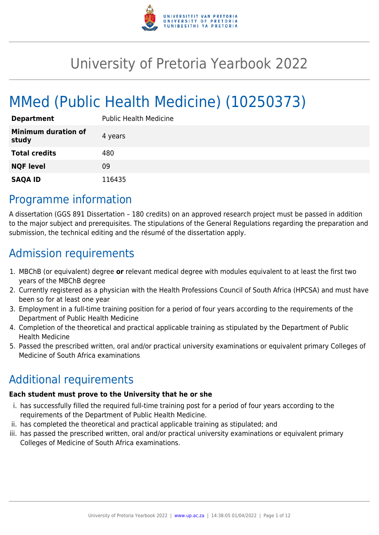

# University of Pretoria Yearbook 2022

# MMed (Public Health Medicine) (10250373)

| <b>Department</b>                   | <b>Public Health Medicine</b> |
|-------------------------------------|-------------------------------|
| <b>Minimum duration of</b><br>study | 4 years                       |
| <b>Total credits</b>                | 480                           |
| <b>NQF level</b>                    | 09                            |
| <b>SAQA ID</b>                      | 116435                        |

### Programme information

A dissertation (GGS 891 Dissertation – 180 credits) on an approved research project must be passed in addition to the major subject and prerequisites. The stipulations of the General Regulations regarding the preparation and submission, the technical editing and the résumé of the dissertation apply.

## Admission requirements

- 1. MBChB (or equivalent) degree **or** relevant medical degree with modules equivalent to at least the first two years of the MBChB degree
- 2. Currently registered as a physician with the Health Professions Council of South Africa (HPCSA) and must have been so for at least one year
- 3. Employment in a full-time training position for a period of four years according to the requirements of the Department of Public Health Medicine
- 4. Completion of the theoretical and practical applicable training as stipulated by the Department of Public Health Medicine
- 5. Passed the prescribed written, oral and/or practical university examinations or equivalent primary Colleges of Medicine of South Africa examinations

# Additional requirements

#### **Each student must prove to the University that he or she**

- i. has successfully filled the required full-time training post for a period of four years according to the requirements of the Department of Public Health Medicine.
- ii. has completed the theoretical and practical applicable training as stipulated; and
- iii. has passed the prescribed written, oral and/or practical university examinations or equivalent primary Colleges of Medicine of South Africa examinations.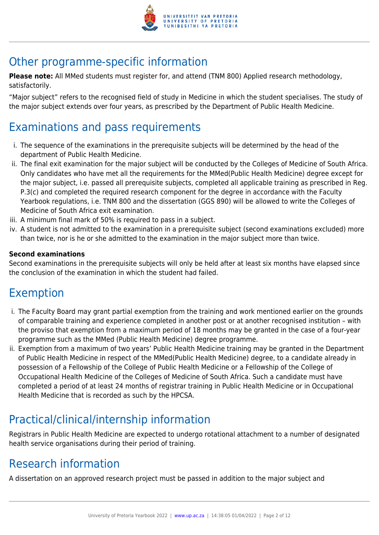

## Other programme-specific information

**Please note:** All MMed students must register for, and attend (TNM 800) Applied research methodology, satisfactorily.

"Major subject" refers to the recognised field of study in Medicine in which the student specialises. The study of the major subject extends over four years, as prescribed by the Department of Public Health Medicine.

### Examinations and pass requirements

- i. The sequence of the examinations in the prerequisite subjects will be determined by the head of the department of Public Health Medicine.
- ii. The final exit examination for the major subject will be conducted by the Colleges of Medicine of South Africa. Only candidates who have met all the requirements for the MMed(Public Health Medicine) degree except for the major subject, i.e. passed all prerequisite subjects, completed all applicable training as prescribed in Reg. P.3(c) and completed the required research component for the degree in accordance with the Faculty Yearbook regulations, i.e. TNM 800 and the dissertation (GGS 890) will be allowed to write the Colleges of Medicine of South Africa exit examination.
- iii. A minimum final mark of 50% is required to pass in a subject.
- iv. A student is not admitted to the examination in a prerequisite subject (second examinations excluded) more than twice, nor is he or she admitted to the examination in the major subject more than twice.

#### **Second examinations**

Second examinations in the prerequisite subjects will only be held after at least six months have elapsed since the conclusion of the examination in which the student had failed.

### Exemption

- i. The Faculty Board may grant partial exemption from the training and work mentioned earlier on the grounds of comparable training and experience completed in another post or at another recognised institution – with the proviso that exemption from a maximum period of 18 months may be granted in the case of a four-year programme such as the MMed (Public Health Medicine) degree programme.
- ii. Exemption from a maximum of two years' Public Health Medicine training may be granted in the Department of Public Health Medicine in respect of the MMed(Public Health Medicine) degree, to a candidate already in possession of a Fellowship of the College of Public Health Medicine or a Fellowship of the College of Occupational Health Medicine of the Colleges of Medicine of South Africa. Such a candidate must have completed a period of at least 24 months of registrar training in Public Health Medicine or in Occupational Health Medicine that is recorded as such by the HPCSA.

# Practical/clinical/internship information

Registrars in Public Health Medicine are expected to undergo rotational attachment to a number of designated health service organisations during their period of training.

### Research information

A dissertation on an approved research project must be passed in addition to the major subject and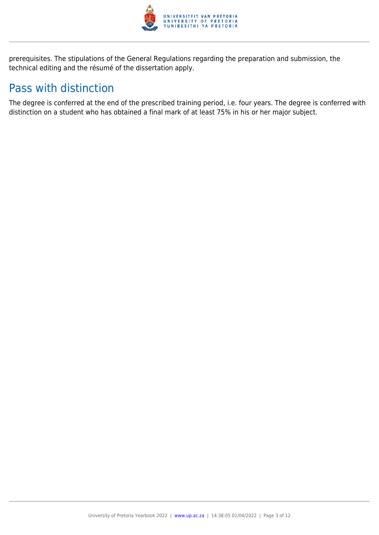

prerequisites. The stipulations of the General Regulations regarding the preparation and submission, the technical editing and the résumé of the dissertation apply.

### Pass with distinction

The degree is conferred at the end of the prescribed training period, i.e. four years. The degree is conferred with distinction on a student who has obtained a final mark of at least 75% in his or her major subject.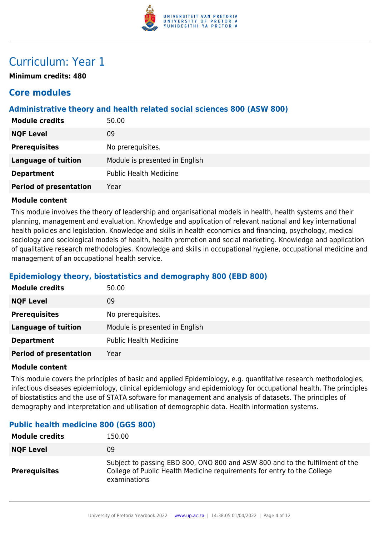

### Curriculum: Year 1

**Minimum credits: 480**

### **Core modules**

#### **Administrative theory and health related social sciences 800 (ASW 800)**

| 50.00                          |
|--------------------------------|
| 09                             |
| No prerequisites.              |
| Module is presented in English |
| <b>Public Health Medicine</b>  |
| Year                           |
|                                |

#### **Module content**

This module involves the theory of leadership and organisational models in health, health systems and their planning, management and evaluation. Knowledge and application of relevant national and key international health policies and legislation. Knowledge and skills in health economics and financing, psychology, medical sociology and sociological models of health, health promotion and social marketing. Knowledge and application of qualitative research methodologies. Knowledge and skills in occupational hygiene, occupational medicine and management of an occupational health service.

#### **Epidemiology theory, biostatistics and demography 800 (EBD 800)**

| <b>Module credits</b>         | 50.00                          |
|-------------------------------|--------------------------------|
| <b>NQF Level</b>              | 09                             |
| <b>Prerequisites</b>          | No prerequisites.              |
| <b>Language of tuition</b>    | Module is presented in English |
| <b>Department</b>             | <b>Public Health Medicine</b>  |
| <b>Period of presentation</b> | Year                           |

#### **Module content**

This module covers the principles of basic and applied Epidemiology, e.g. quantitative research methodologies, infectious diseases epidemiology, clinical epidemiology and epidemiology for occupational health. The principles of biostatistics and the use of STATA software for management and analysis of datasets. The principles of demography and interpretation and utilisation of demographic data. Health information systems.

| <b>Module credits</b> | 150.00                                                                                                                                                                  |
|-----------------------|-------------------------------------------------------------------------------------------------------------------------------------------------------------------------|
| <b>NQF Level</b>      | 09                                                                                                                                                                      |
| <b>Prerequisites</b>  | Subject to passing EBD 800, ONO 800 and ASW 800 and to the fulfilment of the<br>College of Public Health Medicine requirements for entry to the College<br>examinations |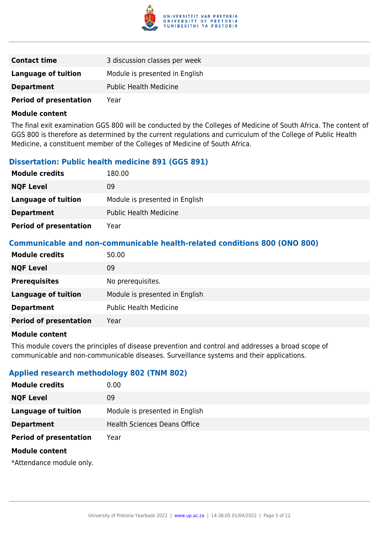

| <b>Contact time</b>           | 3 discussion classes per week  |
|-------------------------------|--------------------------------|
| Language of tuition           | Module is presented in English |
| <b>Department</b>             | <b>Public Health Medicine</b>  |
| <b>Period of presentation</b> | Year                           |

The final exit examination GGS 800 will be conducted by the Colleges of Medicine of South Africa. The content of GGS 800 is therefore as determined by the current regulations and curriculum of the College of Public Health Medicine, a constituent member of the Colleges of Medicine of South Africa.

#### **Dissertation: Public health medicine 891 (GGS 891)**

| <b>Module credits</b>         | 180.00                         |
|-------------------------------|--------------------------------|
| <b>NQF Level</b>              | 09                             |
| Language of tuition           | Module is presented in English |
| <b>Department</b>             | <b>Public Health Medicine</b>  |
| <b>Period of presentation</b> | Year                           |

#### **Communicable and non-communicable health-related conditions 800 (ONO 800)**

| <b>Module credits</b>         | 50.00                          |
|-------------------------------|--------------------------------|
| <b>NQF Level</b>              | 09                             |
| <b>Prerequisites</b>          | No prerequisites.              |
| <b>Language of tuition</b>    | Module is presented in English |
| <b>Department</b>             | <b>Public Health Medicine</b>  |
| <b>Period of presentation</b> | Year                           |

#### **Module content**

This module covers the principles of disease prevention and control and addresses a broad scope of communicable and non-communicable diseases. Surveillance systems and their applications.

#### **Applied research methodology 802 (TNM 802)**

| <b>Module credits</b>         | 0.00                                |
|-------------------------------|-------------------------------------|
| <b>NQF Level</b>              | 09                                  |
| <b>Language of tuition</b>    | Module is presented in English      |
| <b>Department</b>             | <b>Health Sciences Deans Office</b> |
| <b>Period of presentation</b> | Year                                |
| <b>Module content</b>         |                                     |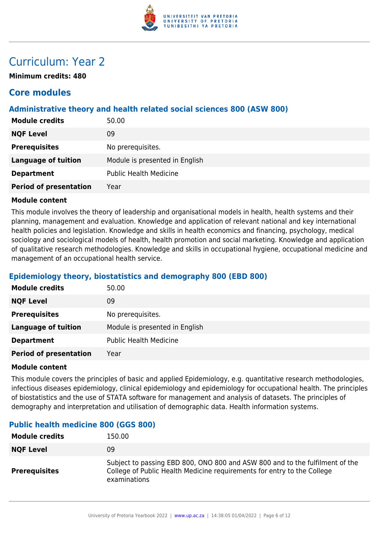

### Curriculum: Year 2

**Minimum credits: 480**

### **Core modules**

#### **Administrative theory and health related social sciences 800 (ASW 800)**

| 50.00                          |
|--------------------------------|
| 09                             |
| No prerequisites.              |
| Module is presented in English |
| <b>Public Health Medicine</b>  |
| Year                           |
|                                |

#### **Module content**

This module involves the theory of leadership and organisational models in health, health systems and their planning, management and evaluation. Knowledge and application of relevant national and key international health policies and legislation. Knowledge and skills in health economics and financing, psychology, medical sociology and sociological models of health, health promotion and social marketing. Knowledge and application of qualitative research methodologies. Knowledge and skills in occupational hygiene, occupational medicine and management of an occupational health service.

#### **Epidemiology theory, biostatistics and demography 800 (EBD 800)**

| <b>Module credits</b>         | 50.00                          |
|-------------------------------|--------------------------------|
| <b>NQF Level</b>              | 09                             |
| <b>Prerequisites</b>          | No prerequisites.              |
| <b>Language of tuition</b>    | Module is presented in English |
| <b>Department</b>             | <b>Public Health Medicine</b>  |
| <b>Period of presentation</b> | Year                           |

#### **Module content**

This module covers the principles of basic and applied Epidemiology, e.g. quantitative research methodologies, infectious diseases epidemiology, clinical epidemiology and epidemiology for occupational health. The principles of biostatistics and the use of STATA software for management and analysis of datasets. The principles of demography and interpretation and utilisation of demographic data. Health information systems.

| <b>Module credits</b> | 150.00                                                                                                                                                                  |
|-----------------------|-------------------------------------------------------------------------------------------------------------------------------------------------------------------------|
| <b>NQF Level</b>      | 09                                                                                                                                                                      |
| <b>Prerequisites</b>  | Subject to passing EBD 800, ONO 800 and ASW 800 and to the fulfilment of the<br>College of Public Health Medicine requirements for entry to the College<br>examinations |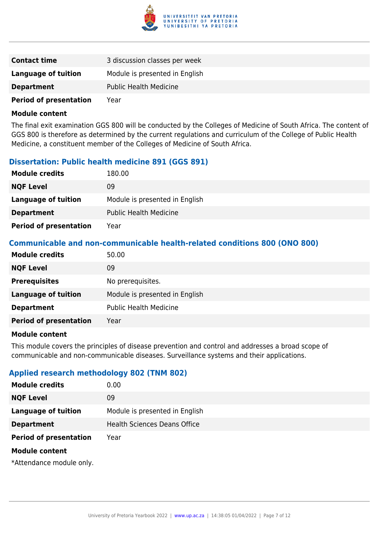

| <b>Contact time</b>           | 3 discussion classes per week  |
|-------------------------------|--------------------------------|
| Language of tuition           | Module is presented in English |
| <b>Department</b>             | <b>Public Health Medicine</b>  |
| <b>Period of presentation</b> | Year                           |

The final exit examination GGS 800 will be conducted by the Colleges of Medicine of South Africa. The content of GGS 800 is therefore as determined by the current regulations and curriculum of the College of Public Health Medicine, a constituent member of the Colleges of Medicine of South Africa.

#### **Dissertation: Public health medicine 891 (GGS 891)**

| <b>Module credits</b>         | 180.00                         |
|-------------------------------|--------------------------------|
| <b>NQF Level</b>              | 09                             |
| Language of tuition           | Module is presented in English |
| <b>Department</b>             | <b>Public Health Medicine</b>  |
| <b>Period of presentation</b> | Year                           |

#### **Communicable and non-communicable health-related conditions 800 (ONO 800)**

| <b>Module credits</b>         | 50.00                          |
|-------------------------------|--------------------------------|
| <b>NQF Level</b>              | 09                             |
| <b>Prerequisites</b>          | No prerequisites.              |
| <b>Language of tuition</b>    | Module is presented in English |
| <b>Department</b>             | <b>Public Health Medicine</b>  |
| <b>Period of presentation</b> | Year                           |

#### **Module content**

This module covers the principles of disease prevention and control and addresses a broad scope of communicable and non-communicable diseases. Surveillance systems and their applications.

#### **Applied research methodology 802 (TNM 802)**

| <b>Module credits</b>         | 0.00                                |
|-------------------------------|-------------------------------------|
| <b>NQF Level</b>              | 09                                  |
| <b>Language of tuition</b>    | Module is presented in English      |
| <b>Department</b>             | <b>Health Sciences Deans Office</b> |
| <b>Period of presentation</b> | Year                                |
| <b>Module content</b>         |                                     |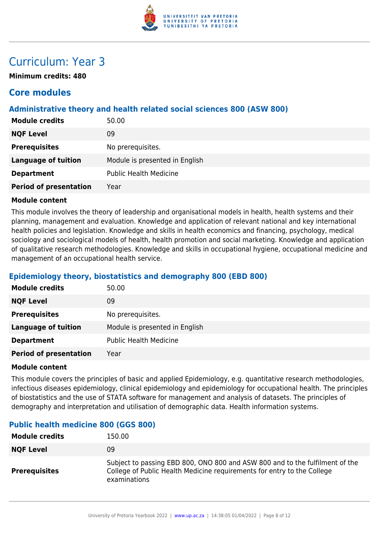

### Curriculum: Year 3

**Minimum credits: 480**

### **Core modules**

#### **Administrative theory and health related social sciences 800 (ASW 800)**

| 50.00                          |
|--------------------------------|
| 09                             |
| No prerequisites.              |
| Module is presented in English |
| <b>Public Health Medicine</b>  |
| Year                           |
|                                |

#### **Module content**

This module involves the theory of leadership and organisational models in health, health systems and their planning, management and evaluation. Knowledge and application of relevant national and key international health policies and legislation. Knowledge and skills in health economics and financing, psychology, medical sociology and sociological models of health, health promotion and social marketing. Knowledge and application of qualitative research methodologies. Knowledge and skills in occupational hygiene, occupational medicine and management of an occupational health service.

#### **Epidemiology theory, biostatistics and demography 800 (EBD 800)**

| <b>Module credits</b>         | 50.00                          |
|-------------------------------|--------------------------------|
| <b>NQF Level</b>              | 09                             |
| <b>Prerequisites</b>          | No prerequisites.              |
| <b>Language of tuition</b>    | Module is presented in English |
| <b>Department</b>             | <b>Public Health Medicine</b>  |
| <b>Period of presentation</b> | Year                           |

#### **Module content**

This module covers the principles of basic and applied Epidemiology, e.g. quantitative research methodologies, infectious diseases epidemiology, clinical epidemiology and epidemiology for occupational health. The principles of biostatistics and the use of STATA software for management and analysis of datasets. The principles of demography and interpretation and utilisation of demographic data. Health information systems.

| <b>Module credits</b> | 150.00                                                                                                                                                                  |
|-----------------------|-------------------------------------------------------------------------------------------------------------------------------------------------------------------------|
| <b>NQF Level</b>      | 09                                                                                                                                                                      |
| <b>Prerequisites</b>  | Subject to passing EBD 800, ONO 800 and ASW 800 and to the fulfilment of the<br>College of Public Health Medicine requirements for entry to the College<br>examinations |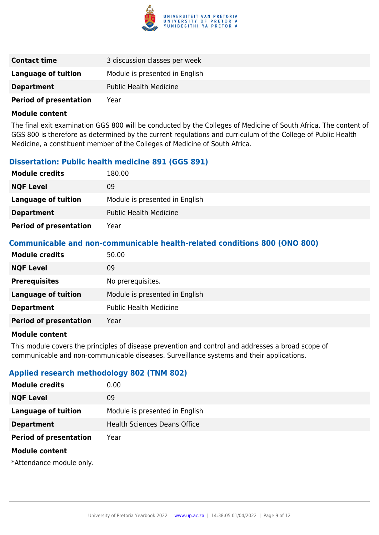

| <b>Contact time</b>           | 3 discussion classes per week  |
|-------------------------------|--------------------------------|
| Language of tuition           | Module is presented in English |
| <b>Department</b>             | <b>Public Health Medicine</b>  |
| <b>Period of presentation</b> | Year                           |

The final exit examination GGS 800 will be conducted by the Colleges of Medicine of South Africa. The content of GGS 800 is therefore as determined by the current regulations and curriculum of the College of Public Health Medicine, a constituent member of the Colleges of Medicine of South Africa.

#### **Dissertation: Public health medicine 891 (GGS 891)**

| <b>Module credits</b>         | 180.00                         |
|-------------------------------|--------------------------------|
| <b>NQF Level</b>              | 09                             |
| Language of tuition           | Module is presented in English |
| <b>Department</b>             | <b>Public Health Medicine</b>  |
| <b>Period of presentation</b> | Year                           |

#### **Communicable and non-communicable health-related conditions 800 (ONO 800)**

| <b>Module credits</b>         | 50.00                          |
|-------------------------------|--------------------------------|
| <b>NQF Level</b>              | 09                             |
| <b>Prerequisites</b>          | No prerequisites.              |
| <b>Language of tuition</b>    | Module is presented in English |
| <b>Department</b>             | <b>Public Health Medicine</b>  |
| <b>Period of presentation</b> | Year                           |

#### **Module content**

This module covers the principles of disease prevention and control and addresses a broad scope of communicable and non-communicable diseases. Surveillance systems and their applications.

#### **Applied research methodology 802 (TNM 802)**

| <b>Module credits</b>         | 0.00                                |
|-------------------------------|-------------------------------------|
| <b>NQF Level</b>              | 09                                  |
| <b>Language of tuition</b>    | Module is presented in English      |
| <b>Department</b>             | <b>Health Sciences Deans Office</b> |
| <b>Period of presentation</b> | Year                                |
| <b>Module content</b>         |                                     |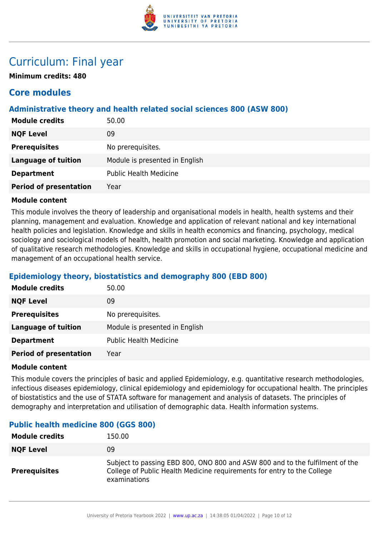

### Curriculum: Final year

**Minimum credits: 480**

### **Core modules**

#### **Administrative theory and health related social sciences 800 (ASW 800)**

| <b>Module credits</b>         | 50.00                          |
|-------------------------------|--------------------------------|
| <b>NQF Level</b>              | 09                             |
| <b>Prerequisites</b>          | No prerequisites.              |
| <b>Language of tuition</b>    | Module is presented in English |
| <b>Department</b>             | <b>Public Health Medicine</b>  |
| <b>Period of presentation</b> | Year                           |

#### **Module content**

This module involves the theory of leadership and organisational models in health, health systems and their planning, management and evaluation. Knowledge and application of relevant national and key international health policies and legislation. Knowledge and skills in health economics and financing, psychology, medical sociology and sociological models of health, health promotion and social marketing. Knowledge and application of qualitative research methodologies. Knowledge and skills in occupational hygiene, occupational medicine and management of an occupational health service.

#### **Epidemiology theory, biostatistics and demography 800 (EBD 800)**

| <b>Module credits</b>         | 50.00                          |
|-------------------------------|--------------------------------|
| <b>NQF Level</b>              | 09                             |
| <b>Prerequisites</b>          | No prerequisites.              |
| <b>Language of tuition</b>    | Module is presented in English |
| <b>Department</b>             | <b>Public Health Medicine</b>  |
| <b>Period of presentation</b> | Year                           |

#### **Module content**

This module covers the principles of basic and applied Epidemiology, e.g. quantitative research methodologies, infectious diseases epidemiology, clinical epidemiology and epidemiology for occupational health. The principles of biostatistics and the use of STATA software for management and analysis of datasets. The principles of demography and interpretation and utilisation of demographic data. Health information systems.

| <b>Module credits</b> | 150.00                                                                                                                                                                  |
|-----------------------|-------------------------------------------------------------------------------------------------------------------------------------------------------------------------|
| <b>NQF Level</b>      | 09                                                                                                                                                                      |
| <b>Prerequisites</b>  | Subject to passing EBD 800, ONO 800 and ASW 800 and to the fulfilment of the<br>College of Public Health Medicine requirements for entry to the College<br>examinations |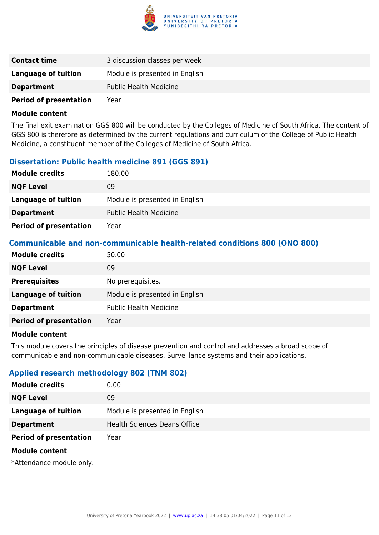

| <b>Contact time</b>           | 3 discussion classes per week  |
|-------------------------------|--------------------------------|
| Language of tuition           | Module is presented in English |
| <b>Department</b>             | <b>Public Health Medicine</b>  |
| <b>Period of presentation</b> | Year                           |

The final exit examination GGS 800 will be conducted by the Colleges of Medicine of South Africa. The content of GGS 800 is therefore as determined by the current regulations and curriculum of the College of Public Health Medicine, a constituent member of the Colleges of Medicine of South Africa.

#### **Dissertation: Public health medicine 891 (GGS 891)**

| <b>Module credits</b>         | 180.00                         |
|-------------------------------|--------------------------------|
| <b>NQF Level</b>              | 09                             |
| Language of tuition           | Module is presented in English |
| <b>Department</b>             | <b>Public Health Medicine</b>  |
| <b>Period of presentation</b> | Year                           |

#### **Communicable and non-communicable health-related conditions 800 (ONO 800)**

| <b>Module credits</b>         | 50.00                          |
|-------------------------------|--------------------------------|
| <b>NQF Level</b>              | 09                             |
| <b>Prerequisites</b>          | No prerequisites.              |
| <b>Language of tuition</b>    | Module is presented in English |
| <b>Department</b>             | <b>Public Health Medicine</b>  |
| <b>Period of presentation</b> | Year                           |

#### **Module content**

This module covers the principles of disease prevention and control and addresses a broad scope of communicable and non-communicable diseases. Surveillance systems and their applications.

#### **Applied research methodology 802 (TNM 802)**

| <b>Module credits</b>         | 0.00                                |
|-------------------------------|-------------------------------------|
| <b>NQF Level</b>              | 09                                  |
| <b>Language of tuition</b>    | Module is presented in English      |
| <b>Department</b>             | <b>Health Sciences Deans Office</b> |
| <b>Period of presentation</b> | Year                                |
| <b>Module content</b>         |                                     |